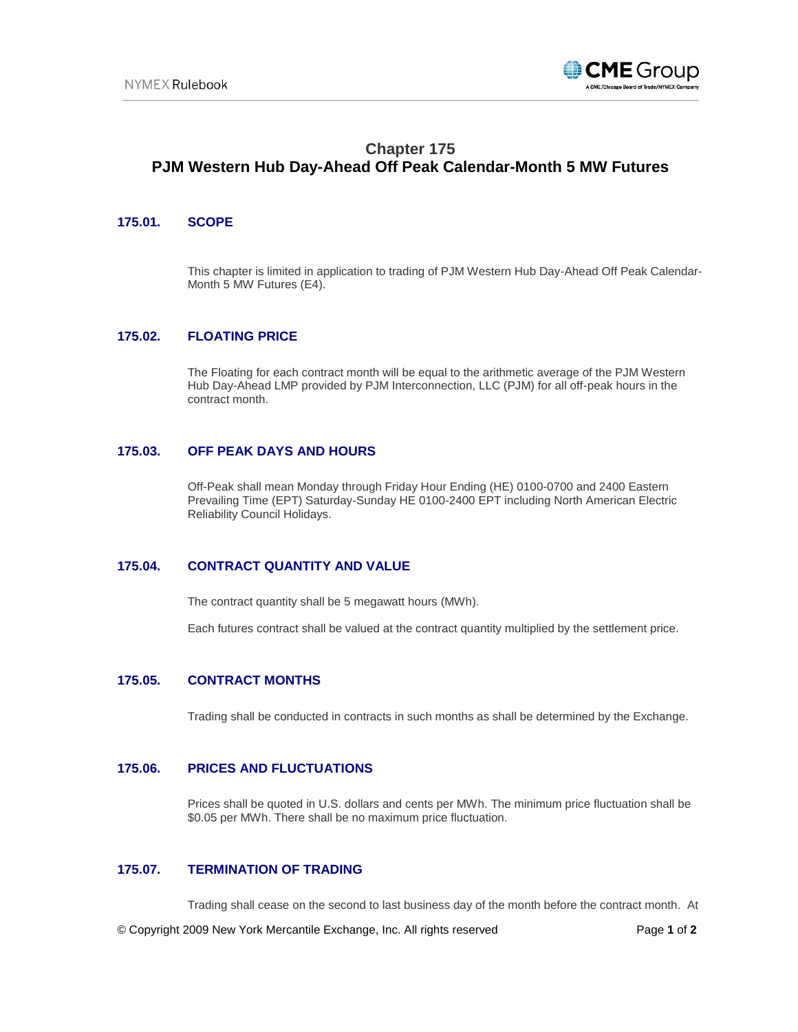

# **Chapter 175 PJM Western Hub Day-Ahead Off Peak Calendar-Month 5 MW Futures**

#### **175.01. SCOPE**

This chapter is limited in application to trading of PJM Western Hub Day-Ahead Off Peak Calendar-Month 5 MW Futures (E4).

# **175.02. FLOATING PRICE**

The Floating for each contract month will be equal to the arithmetic average of the PJM Western Hub Day-Ahead LMP provided by PJM Interconnection, LLC (PJM) for all off-peak hours in the contract month.

#### **175.03. OFF PEAK DAYS AND HOURS**

Off-Peak shall mean Monday through Friday Hour Ending (HE) 0100-0700 and 2400 Eastern Prevailing Time (EPT) Saturday-Sunday HE 0100-2400 EPT including North American Electric Reliability Council Holidays.

# **175.04. CONTRACT QUANTITY AND VALUE**

The contract quantity shall be 5 megawatt hours (MWh).

Each futures contract shall be valued at the contract quantity multiplied by the settlement price.

#### **175.05. CONTRACT MONTHS**

Trading shall be conducted in contracts in such months as shall be determined by the Exchange.

## **175.06. PRICES AND FLUCTUATIONS**

Prices shall be quoted in U.S. dollars and cents per MWh. The minimum price fluctuation shall be \$0.05 per MWh. There shall be no maximum price fluctuation.

# **175.07. TERMINATION OF TRADING**

Trading shall cease on the second to last business day of the month before the contract month. At

© Copyright 2009 New York Mercantile Exchange, Inc. All rights reserved Page **1** of **2**